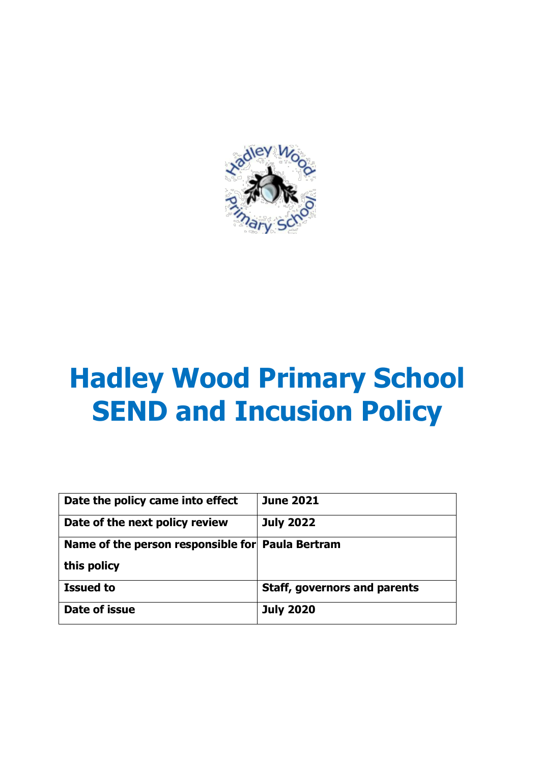

# **Hadley Wood Primary School SEND and Incusion Policy**

| Date the policy came into effect                 | <b>June 2021</b>                    |
|--------------------------------------------------|-------------------------------------|
| Date of the next policy review                   | <b>July 2022</b>                    |
| Name of the person responsible for Paula Bertram |                                     |
| this policy                                      |                                     |
| <b>Issued to</b>                                 | <b>Staff, governors and parents</b> |
| Date of issue                                    | <b>July 2020</b>                    |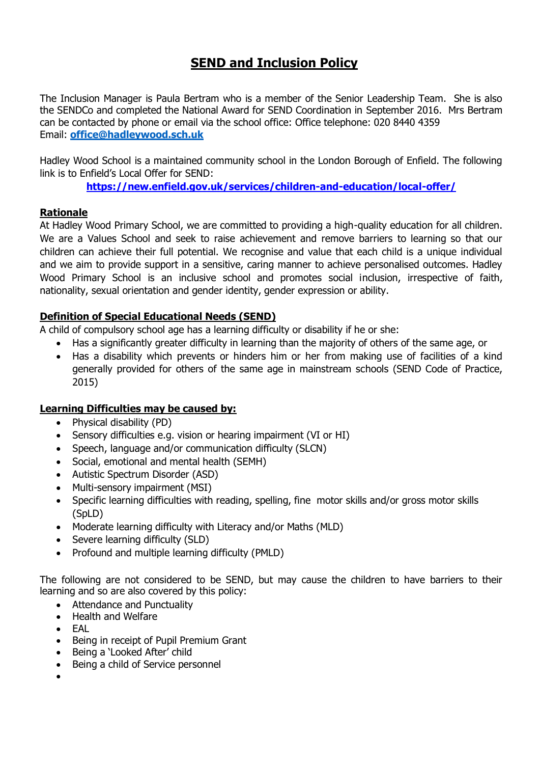# **SEND and Inclusion Policy**

The Inclusion Manager is Paula Bertram who is a member of the Senior Leadership Team. She is also the SENDCo and completed the National Award for SEND Coordination in September 2016. Mrs Bertram can be contacted by phone or email via the school office: Office telephone: 020 8440 4359 Email: **[office@hadleywood.sch.uk](mailto:office@hadleywood.sch.uk)**

Hadley Wood School is a maintained community school in the London Borough of Enfield. The following link is to Enfield's Local Offer for SEND:

**<https://new.enfield.gov.uk/services/children-and-education/local-offer/>**

# **Rationale**

At Hadley Wood Primary School, we are committed to providing a high-quality education for all children. We are a Values School and seek to raise achievement and remove barriers to learning so that our children can achieve their full potential. We recognise and value that each child is a unique individual and we aim to provide support in a sensitive, caring manner to achieve personalised outcomes. Hadley Wood Primary School is an inclusive school and promotes social inclusion, irrespective of faith, nationality, sexual orientation and gender identity, gender expression or ability.

#### **Definition of Special Educational Needs (SEND)**

A child of compulsory school age has a learning difficulty or disability if he or she:

- Has a significantly greater difficulty in learning than the majority of others of the same age, or
- Has a disability which prevents or hinders him or her from making use of facilities of a kind generally provided for others of the same age in mainstream schools (SEND Code of Practice, 2015)

# **Learning Difficulties may be caused by:**

- Physical disability (PD)
- Sensory difficulties e.g. vision or hearing impairment (VI or HI)
- Speech, language and/or communication difficulty (SLCN)
- Social, emotional and mental health (SEMH)
- Autistic Spectrum Disorder (ASD)
- Multi-sensory impairment (MSI)
- Specific learning difficulties with reading, spelling, fine motor skills and/or gross motor skills (SpLD)
- Moderate learning difficulty with Literacy and/or Maths (MLD)
- Severe learning difficulty (SLD)
- Profound and multiple learning difficulty (PMLD)

The following are not considered to be SEND, but may cause the children to have barriers to their learning and so are also covered by this policy:

- Attendance and Punctuality
- Health and Welfare
- EAL
- Being in receipt of Pupil Premium Grant
- Being a 'Looked After' child
- Being a child of Service personnel
- $\bullet$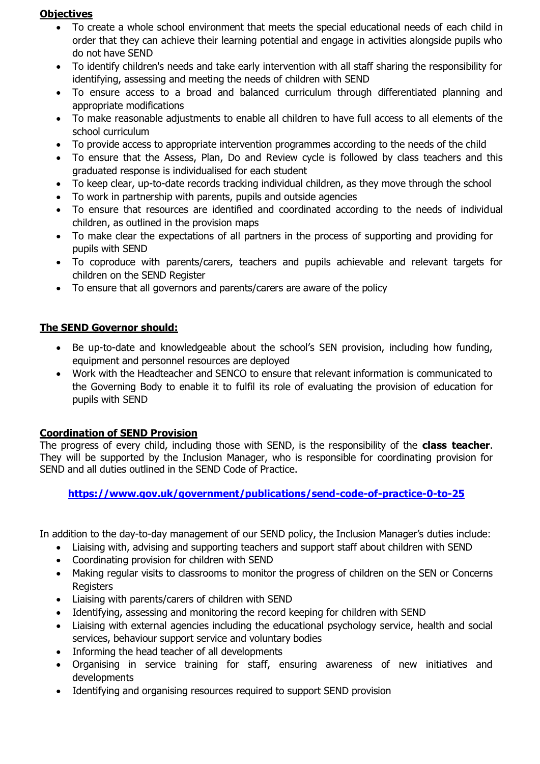# **Objectives**

- To create a whole school environment that meets the special educational needs of each child in order that they can achieve their learning potential and engage in activities alongside pupils who do not have SEND
- To identify children's needs and take early intervention with all staff sharing the responsibility for identifying, assessing and meeting the needs of children with SEND
- To ensure access to a broad and balanced curriculum through differentiated planning and appropriate modifications
- To make reasonable adjustments to enable all children to have full access to all elements of the school curriculum
- To provide access to appropriate intervention programmes according to the needs of the child
- To ensure that the Assess, Plan, Do and Review cycle is followed by class teachers and this graduated response is individualised for each student
- To keep clear, up-to-date records tracking individual children, as they move through the school
- To work in partnership with parents, pupils and outside agencies
- To ensure that resources are identified and coordinated according to the needs of individual children, as outlined in the provision maps
- To make clear the expectations of all partners in the process of supporting and providing for pupils with SEND
- To coproduce with parents/carers, teachers and pupils achievable and relevant targets for children on the SEND Register
- To ensure that all governors and parents/carers are aware of the policy

# **The SEND Governor should:**

- Be up-to-date and knowledgeable about the school's SEN provision, including how funding, equipment and personnel resources are deployed
- Work with the Headteacher and SENCO to ensure that relevant information is communicated to the Governing Body to enable it to fulfil its role of evaluating the provision of education for pupils with SEND

# **Coordination of SEND Provision**

The progress of every child, including those with SEND, is the responsibility of the **class teacher**. They will be supported by the Inclusion Manager, who is responsible for coordinating provision for SEND and all duties outlined in the SEND Code of Practice.

# **<https://www.gov.uk/government/publications/send-code-of-practice-0-to-25>**

In addition to the day-to-day management of our SEND policy, the Inclusion Manager's duties include:

- Liaising with, advising and supporting teachers and support staff about children with SEND
- Coordinating provision for children with SEND
- Making regular visits to classrooms to monitor the progress of children on the SEN or Concerns **Registers**
- Liaising with parents/carers of children with SEND
- Identifying, assessing and monitoring the record keeping for children with SEND
- Liaising with external agencies including the educational psychology service, health and social services, behaviour support service and voluntary bodies
- Informing the head teacher of all developments
- Organising in service training for staff, ensuring awareness of new initiatives and developments
- Identifying and organising resources required to support SEND provision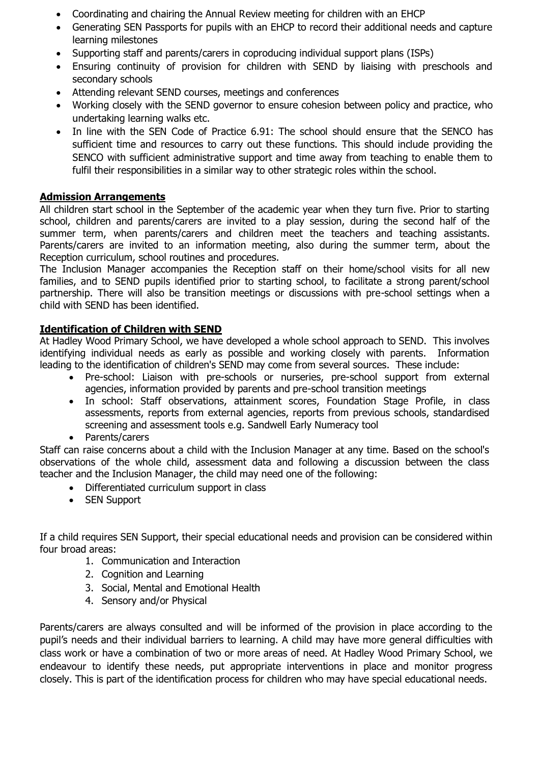- Coordinating and chairing the Annual Review meeting for children with an EHCP
- Generating SEN Passports for pupils with an EHCP to record their additional needs and capture learning milestones
- Supporting staff and parents/carers in coproducing individual support plans (ISPs)
- Ensuring continuity of provision for children with SEND by liaising with preschools and secondary schools
- Attending relevant SEND courses, meetings and conferences
- Working closely with the SEND governor to ensure cohesion between policy and practice, who undertaking learning walks etc.
- In line with the SEN Code of Practice 6.91: The school should ensure that the SENCO has sufficient time and resources to carry out these functions. This should include providing the SENCO with sufficient administrative support and time away from teaching to enable them to fulfil their responsibilities in a similar way to other strategic roles within the school.

# **Admission Arrangements**

All children start school in the September of the academic year when they turn five. Prior to starting school, children and parents/carers are invited to a play session, during the second half of the summer term, when parents/carers and children meet the teachers and teaching assistants. Parents/carers are invited to an information meeting, also during the summer term, about the Reception curriculum, school routines and procedures.

The Inclusion Manager accompanies the Reception staff on their home/school visits for all new families, and to SEND pupils identified prior to starting school, to facilitate a strong parent/school partnership. There will also be transition meetings or discussions with pre-school settings when a child with SEND has been identified.

#### **Identification of Children with SEND**

At Hadley Wood Primary School, we have developed a whole school approach to SEND. This involves identifying individual needs as early as possible and working closely with parents. Information leading to the identification of children's SEND may come from several sources. These include:

- Pre-school: Liaison with pre-schools or nurseries, pre-school support from external agencies, information provided by parents and pre-school transition meetings
- In school: Staff observations, attainment scores, Foundation Stage Profile, in class assessments, reports from external agencies, reports from previous schools, standardised screening and assessment tools e.g. Sandwell Early Numeracy tool
- Parents/carers

Staff can raise concerns about a child with the Inclusion Manager at any time. Based on the school's observations of the whole child, assessment data and following a discussion between the class teacher and the Inclusion Manager, the child may need one of the following:

- Differentiated curriculum support in class
- SEN Support

If a child requires SEN Support, their special educational needs and provision can be considered within four broad areas:

- 1. Communication and Interaction
- 2. Cognition and Learning
- 3. Social, Mental and Emotional Health
- 4. Sensory and/or Physical

Parents/carers are always consulted and will be informed of the provision in place according to the pupil's needs and their individual barriers to learning. A child may have more general difficulties with class work or have a combination of two or more areas of need. At Hadley Wood Primary School, we endeavour to identify these needs, put appropriate interventions in place and monitor progress closely. This is part of the identification process for children who may have special educational needs.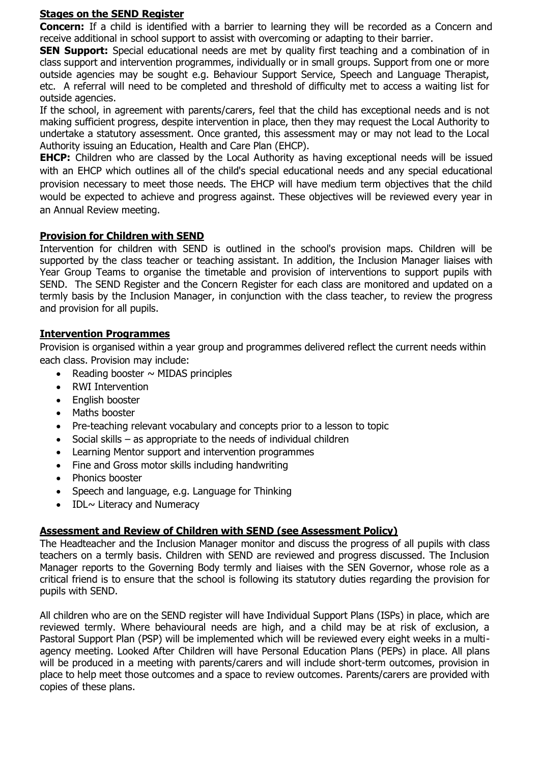#### **Stages on the SEND Register**

**Concern:** If a child is identified with a barrier to learning they will be recorded as a Concern and receive additional in school support to assist with overcoming or adapting to their barrier.

**SEN Support:** Special educational needs are met by quality first teaching and a combination of in class support and intervention programmes, individually or in small groups. Support from one or more outside agencies may be sought e.g. Behaviour Support Service, Speech and Language Therapist, etc. A referral will need to be completed and threshold of difficulty met to access a waiting list for outside agencies.

If the school, in agreement with parents/carers, feel that the child has exceptional needs and is not making sufficient progress, despite intervention in place, then they may request the Local Authority to undertake a statutory assessment. Once granted, this assessment may or may not lead to the Local Authority issuing an Education, Health and Care Plan (EHCP).

**EHCP:** Children who are classed by the Local Authority as having exceptional needs will be issued with an EHCP which outlines all of the child's special educational needs and any special educational provision necessary to meet those needs. The EHCP will have medium term objectives that the child would be expected to achieve and progress against. These objectives will be reviewed every year in an Annual Review meeting.

# **Provision for Children with SEND**

Intervention for children with SEND is outlined in the school's provision maps. Children will be supported by the class teacher or teaching assistant. In addition, the Inclusion Manager liaises with Year Group Teams to organise the timetable and provision of interventions to support pupils with SEND. The SEND Register and the Concern Register for each class are monitored and updated on a termly basis by the Inclusion Manager, in conjunction with the class teacher, to review the progress and provision for all pupils.

#### **Intervention Programmes**

Provision is organised within a year group and programmes delivered reflect the current needs within each class. Provision may include:

- Reading booster  $\sim$  MIDAS principles
- RWI Intervention
- English booster
- Maths booster
- Pre-teaching relevant vocabulary and concepts prior to a lesson to topic
- Social skills as appropriate to the needs of individual children
- Learning Mentor support and intervention programmes
- Fine and Gross motor skills including handwriting
- Phonics booster
- Speech and language, e.g. Language for Thinking
- $\bullet$  IDL $\sim$  Literacy and Numeracy

# **Assessment and Review of Children with SEND (see Assessment Policy)**

The Headteacher and the Inclusion Manager monitor and discuss the progress of all pupils with class teachers on a termly basis. Children with SEND are reviewed and progress discussed. The Inclusion Manager reports to the Governing Body termly and liaises with the SEN Governor, whose role as a critical friend is to ensure that the school is following its statutory duties regarding the provision for pupils with SEND.

All children who are on the SEND register will have Individual Support Plans (ISPs) in place, which are reviewed termly. Where behavioural needs are high, and a child may be at risk of exclusion, a Pastoral Support Plan (PSP) will be implemented which will be reviewed every eight weeks in a multiagency meeting. Looked After Children will have Personal Education Plans (PEPs) in place. All plans will be produced in a meeting with parents/carers and will include short-term outcomes, provision in place to help meet those outcomes and a space to review outcomes. Parents/carers are provided with copies of these plans.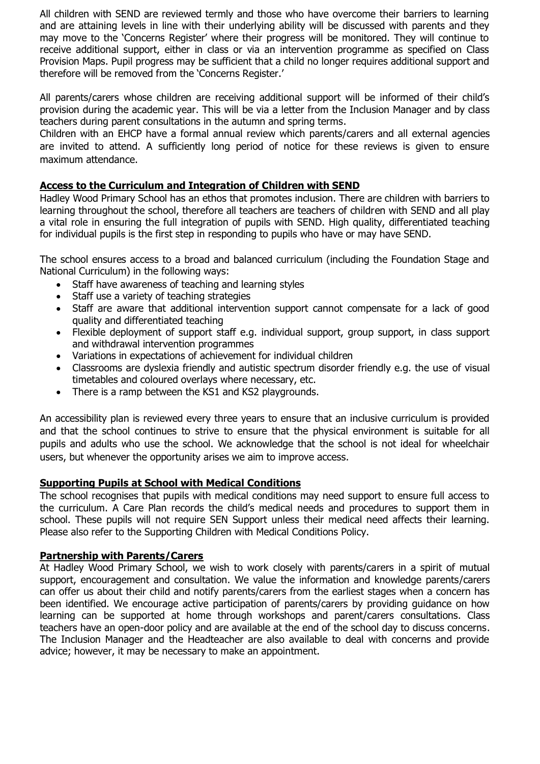All children with SEND are reviewed termly and those who have overcome their barriers to learning and are attaining levels in line with their underlying ability will be discussed with parents and they may move to the 'Concerns Register' where their progress will be monitored. They will continue to receive additional support, either in class or via an intervention programme as specified on Class Provision Maps. Pupil progress may be sufficient that a child no longer requires additional support and therefore will be removed from the 'Concerns Register.'

All parents/carers whose children are receiving additional support will be informed of their child's provision during the academic year. This will be via a letter from the Inclusion Manager and by class teachers during parent consultations in the autumn and spring terms.

Children with an EHCP have a formal annual review which parents/carers and all external agencies are invited to attend. A sufficiently long period of notice for these reviews is given to ensure maximum attendance.

#### **Access to the Curriculum and Integration of Children with SEND**

Hadley Wood Primary School has an ethos that promotes inclusion. There are children with barriers to learning throughout the school, therefore all teachers are teachers of children with SEND and all play a vital role in ensuring the full integration of pupils with SEND. High quality, differentiated teaching for individual pupils is the first step in responding to pupils who have or may have SEND.

The school ensures access to a broad and balanced curriculum (including the Foundation Stage and National Curriculum) in the following ways:

- Staff have awareness of teaching and learning styles
- Staff use a variety of teaching strategies
- Staff are aware that additional intervention support cannot compensate for a lack of good quality and differentiated teaching
- Flexible deployment of support staff e.g. individual support, group support, in class support and withdrawal intervention programmes
- Variations in expectations of achievement for individual children
- Classrooms are dyslexia friendly and autistic spectrum disorder friendly e.g. the use of visual timetables and coloured overlays where necessary, etc.
- There is a ramp between the KS1 and KS2 playgrounds.

An accessibility plan is reviewed every three years to ensure that an inclusive curriculum is provided and that the school continues to strive to ensure that the physical environment is suitable for all pupils and adults who use the school. We acknowledge that the school is not ideal for wheelchair users, but whenever the opportunity arises we aim to improve access.

#### **Supporting Pupils at School with Medical Conditions**

The school recognises that pupils with medical conditions may need support to ensure full access to the curriculum. A Care Plan records the child's medical needs and procedures to support them in school. These pupils will not require SEN Support unless their medical need affects their learning. Please also refer to the Supporting Children with Medical Conditions Policy.

#### **Partnership with Parents/Carers**

At Hadley Wood Primary School, we wish to work closely with parents/carers in a spirit of mutual support, encouragement and consultation. We value the information and knowledge parents/carers can offer us about their child and notify parents/carers from the earliest stages when a concern has been identified. We encourage active participation of parents/carers by providing guidance on how learning can be supported at home through workshops and parent/carers consultations. Class teachers have an open-door policy and are available at the end of the school day to discuss concerns. The Inclusion Manager and the Headteacher are also available to deal with concerns and provide advice; however, it may be necessary to make an appointment.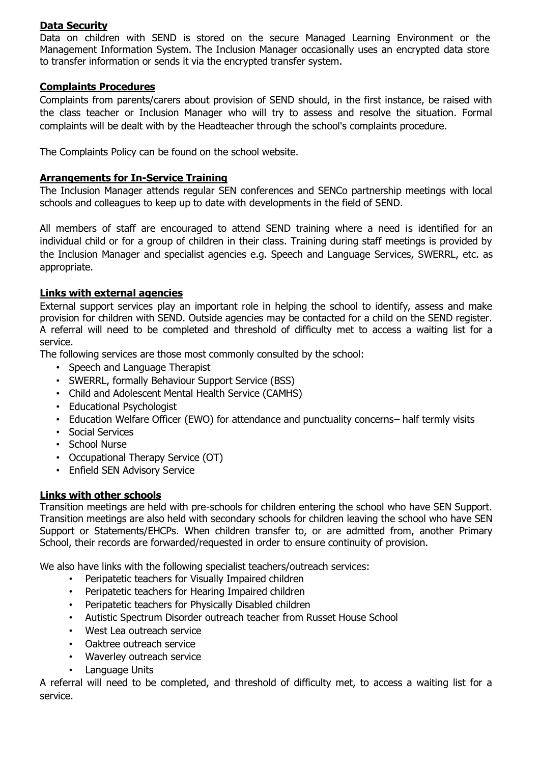#### **Data Security**

Data on children with SEND is stored on the secure Managed Learning Environment or the Management Information System. The Inclusion Manager occasionally uses an encrypted data store to transfer information or sends it via the encrypted transfer system.

#### **Complaints Procedures**

Complaints from parents/carers about provision of SEND should, in the first instance, be raised with the class teacher or Inclusion Manager who will try to assess and resolve the situation. Formal complaints will be dealt with by the Headteacher through the school's complaints procedure.

The Complaints Policy can be found on the school website.

# **Arrangements for In-Service Training**

The Inclusion Manager attends regular SEN conferences and SENCo partnership meetings with local schools and colleagues to keep up to date with developments in the field of SEND.

All members of staff are encouraged to attend SEND training where a need is identified for an individual child or for a group of children in their class. Training during staff meetings is provided by the Inclusion Manager and specialist agencies e.g. Speech and Language Services, SWERRL, etc. as appropriate.

# **Links with external agencies**

External support services play an important role in helping the school to identify, assess and make provision for children with SEND. Outside agencies may be contacted for a child on the SEND register. A referral will need to be completed and threshold of difficulty met to access a waiting list for a service.

The following services are those most commonly consulted by the school:

- Speech and Language Therapist
- SWERRL, formally Behaviour Support Service (BSS)
- Child and Adolescent Mental Health Service (CAMHS)
- Educational Psychologist
- Education Welfare Officer (EWO) for attendance and punctuality concerns– half termly visits
- Social Services
- School Nurse
- Occupational Therapy Service (OT)
- Enfield SEN Advisory Service

#### **Links with other schools**

Transition meetings are held with pre-schools for children entering the school who have SEN Support. Transition meetings are also held with secondary schools for children leaving the school who have SEN Support or Statements/EHCPs. When children transfer to, or are admitted from, another Primary School, their records are forwarded/requested in order to ensure continuity of provision.

We also have links with the following specialist teachers/outreach services:

- Peripatetic teachers for Visually Impaired children
- Peripatetic teachers for Hearing Impaired children
- Peripatetic teachers for Physically Disabled children
- Autistic Spectrum Disorder outreach teacher from Russet House School
- West Lea outreach service
- Oaktree outreach service
- Waverley outreach service
- Language Units

A referral will need to be completed, and threshold of difficulty met, to access a waiting list for a service.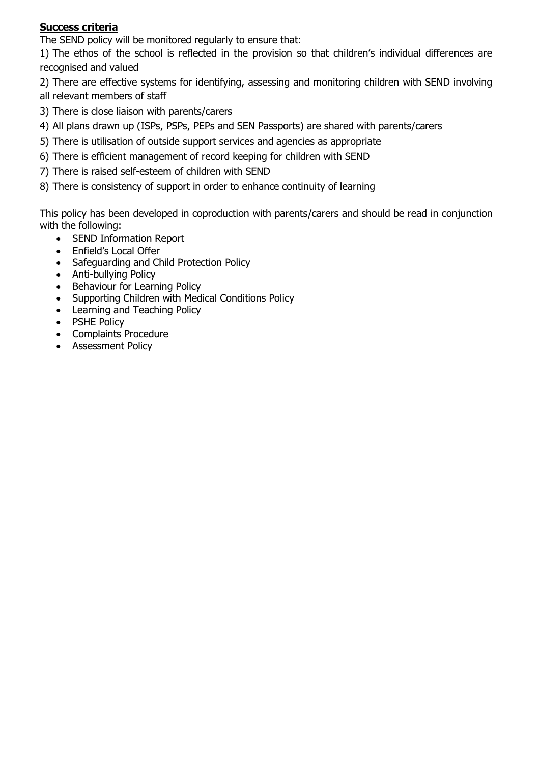# **Success criteria**

The SEND policy will be monitored regularly to ensure that:

1) The ethos of the school is reflected in the provision so that children's individual differences are recognised and valued

2) There are effective systems for identifying, assessing and monitoring children with SEND involving all relevant members of staff

- 3) There is close liaison with parents/carers
- 4) All plans drawn up (ISPs, PSPs, PEPs and SEN Passports) are shared with parents/carers
- 5) There is utilisation of outside support services and agencies as appropriate
- 6) There is efficient management of record keeping for children with SEND
- 7) There is raised self-esteem of children with SEND
- 8) There is consistency of support in order to enhance continuity of learning

This policy has been developed in coproduction with parents/carers and should be read in conjunction with the following:

- SEND Information Report
- Enfield's Local Offer
- Safeguarding and Child Protection Policy
- Anti-bullying Policy
- Behaviour for Learning Policy
- Supporting Children with Medical Conditions Policy
- Learning and Teaching Policy
- PSHE Policy
- Complaints Procedure
- Assessment Policy